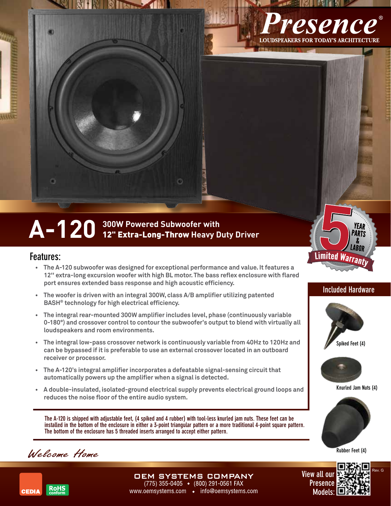

**NHISHART** 

## Features:

**• The A-120 subwoofer was designed for exceptional performance and value. It features a 12'' extra-long excursion woofer with high BL motor.The bass reflex enclosure with flared port ensures extended bass response and high acoustic efficiency.**

ō

- **• The woofer is driven with an integral 300W, class A/B amplifier utilizing patented BASH® technology for high electrical efficiency.**
- **• The integral rear-mounted 300W amplifier includes level, phase (continuously variable 0-180°) and crossover control to contour the subwoofer's output to blend with virtually all loudspeakers and room environments.**
- **• The integral low-pass crossover network is continuously variable from 40Hz to 120Hz and can be bypassed if it is preferable to use an external crossover located in an outboard receiver or processor.**
- **• The A-120's integral amplifier incorporates a defeatable signal-sensing circuit that automatically powers up the amplifier when a signal is detected.**
- **• A double-insulated, isolated-ground electrical supply prevents electrical ground loops and reduces the noise floor of the entire audio system.**

The A-120 is shipped with adjustable feet, (4 spiked and 4 rubber) with tool-less knurled jam nuts. These feet can be installed in the bottom of the enclosure in either a 3-point triangular pattern or a more traditional 4-point square pattern. The bottom of the enclosure has 5 threaded inserts arranged to accept either pattern.

> **DEM SYSTEMS COMPANY** (775) 355-0405 ◆ (800) 291-0561 FAX

www.oemsystems.com • info@oemsystems.com

Welcome Home









esence

**OUDSPEAKERS FOR TODAY'S ARCHITECTURE** 







Knurled Jam Nuts (4)

Rubber Feet (4)